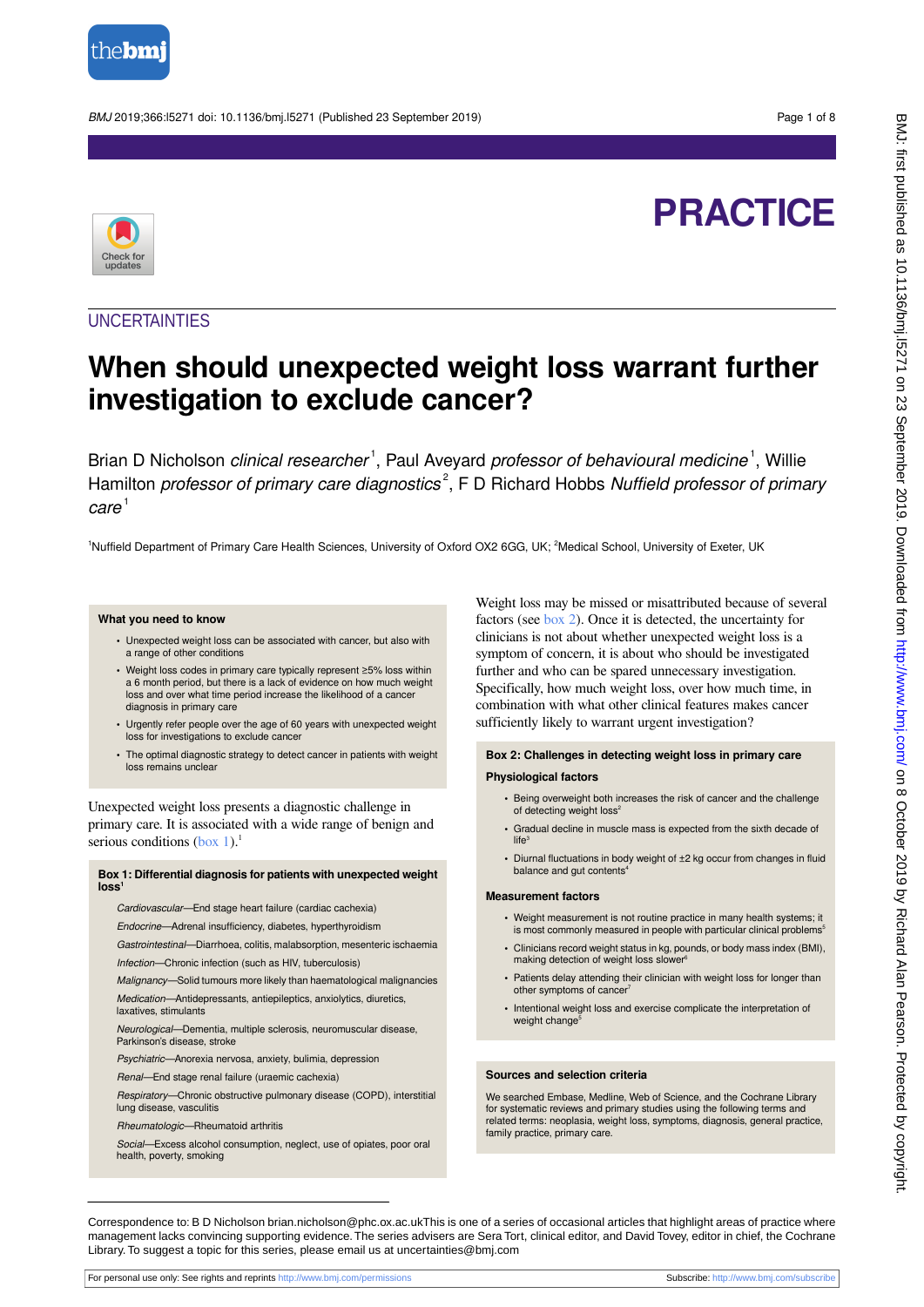

BMJ 2019;366:l5271 doi: 10.1136/bmj.l5271 (Published 23 September 2019) Page 1 of 8

# **PRACTICE**



### **UNCERTAINTIES**

# **When should unexpected weight loss warrant further investigation to exclude cancer?**

Brian D Nicholson clinical researcher<sup>1</sup>, Paul Aveyard professor of behavioural medicine<sup>1</sup>, Willie Hamilton professor of primary care diagnostics<sup>2</sup>, F D Richard Hobbs Nuffield professor of primary  $care<sup>1</sup>$ 

<sup>1</sup>Nuffield Department of Primary Care Health Sciences, University of Oxford OX2 6GG, UK; <sup>2</sup>Medical School, University of Exeter, UK

### **What you need to know**

- **•** Unexpected weight loss can be associated with cancer, but also with a range of other conditions
- **•** Weight loss codes in primary care typically represent ≥5% loss within a 6 month period, but there is a lack of evidence on how much weight loss and over what time period increase the likelihood of a cancer diagnosis in primary care
- **•** Urgently refer people over the age of 60 years with unexpected weight loss for investigations to exclude cancer
- **•** The optimal diagnostic strategy to detect cancer in patients with weight loss remains unclear

<span id="page-0-0"></span>Unexpected weight loss presents a diagnostic challenge in primary care. It is associated with a wide range of benign and serious conditions  $(box 1)^1$  $(box 1)^1$  $(box 1)^1$ .

### **Box 1: Differential diagnosis for patients with unexpected weight loss<sup>1</sup>**

Cardiovascular—End stage heart failure (cardiac cachexia)

Endocrine—Adrenal insufficiency, diabetes, hyperthyroidism

Gastrointestinal—Diarrhoea, colitis, malabsorption, mesenteric ischaemia

Infection—Chronic infection (such as HIV, tuberculosis)

Malignancy—Solid tumours more likely than haematological malignancies Medication—Antidepressants, antiepileptics, anxiolytics, diuretics, laxatives, stimulants

Neurological—Dementia, multiple sclerosis, neuromuscular disease, Parkinson's disease, stroke

Psychiatric—Anorexia nervosa, anxiety, bulimia, depression

Renal—End stage renal failure (uraemic cachexia)

Respiratory—Chronic obstructive pulmonary disease (COPD), interstitial lung disease, vasculitis

Rheumatologic—Rheumatoid arthritis

Social—Excess alcohol consumption, neglect, use of opiates, poor oral health, poverty, smoking

Weight loss may be missed or misattributed because of several factors (see [box 2](#page-0-1)). Once it is detected, the uncertainty for clinicians is not about whether unexpected weight loss is a symptom of concern, it is about who should be investigated further and who can be spared unnecessary investigation. Specifically, how much weight loss, over how much time, in combination with what other clinical features makes cancer sufficiently likely to warrant urgent investigation?

### <span id="page-0-1"></span>**Box 2: Challenges in detecting weight loss in primary care Physiological factors**

- **•** Being overweight both increases the risk of cancer and the challenge of detecting weight loss<sup>2</sup>
- **•** Gradual decline in muscle mass is expected from the sixth decade of  $life<sup>3</sup>$
- **•** Diurnal fluctuations in body weight of ±2 kg occur from changes in fluid balance and gut contents

#### **Measurement factors**

- **•** Weight measurement is not routine practice in many health systems; it is most commonly measured in people with particular clinical problems<sup>5</sup>
- **•** Clinicians record weight status in kg, pounds, or body mass index (BMI), making detection of weight loss slower
- **•** Patients delay attending their clinician with weight loss for longer than other symptoms of cancer
- Intentional weight loss and exercise complicate the interpretation of weight change<sup>5</sup>

### **Sources and selection criteria**

We searched Embase, Medline, Web of Science, and the Cochrane Library for systematic reviews and primary studies using the following terms and related terms: neoplasia, weight loss, symptoms, diagnosis, general practice, family practice, primary care.

Correspondence to: B D Nicholson brian.nicholson@phc.ox.ac.ukThis is one of a series of occasional articles that highlight areas of practice where management lacks convincing supporting evidence. The series advisers are Sera Tort, clinical editor, and David Tovey, editor in chief, the Cochrane Library. To suggest a topic for this series, please email us at uncertainties@bmj.com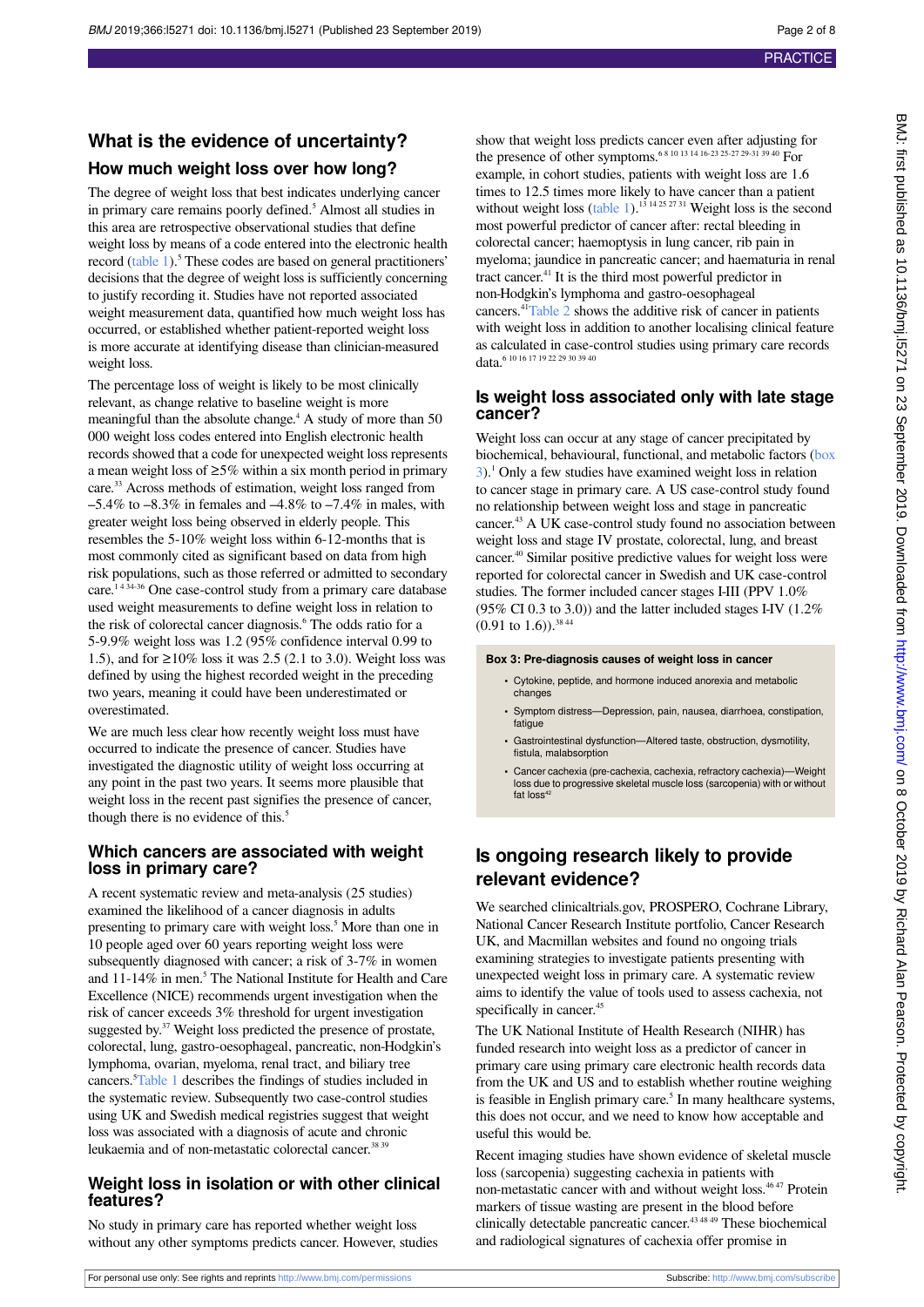# **What is the evidence of uncertainty? How much weight loss over how long?**

The degree of weight loss that best indicates underlying cancer in primary care remains poorly defined.<sup>5</sup> Almost all studies in this area are retrospective observational studies that define weight loss by means of a code entered into the electronic health record [\(table 1](#page-5-0)).<sup>5</sup> These codes are based on general practitioners' decisions that the degree of weight loss is sufficiently concerning to justify recording it. Studies have not reported associated weight measurement data, quantified how much weight loss has occurred, or established whether patient-reported weight loss is more accurate at identifying disease than clinician-measured weight loss.

The percentage loss of weight is likely to be most clinically relevant, as change relative to baseline weight is more meaningful than the absolute change.<sup>4</sup> A study of more than 50 000 weight loss codes entered into English electronic health records showed that a code for unexpected weight loss represents a mean weight loss of  $\geq$ 5% within a six month period in primary care.<sup>33</sup> Across methods of estimation, weight loss ranged from  $-5.4\%$  to  $-8.3\%$  in females and  $-4.8\%$  to  $-7.4\%$  in males, with greater weight loss being observed in elderly people. This resembles the 5-10% weight loss within 6-12-months that is most commonly cited as significant based on data from high risk populations, such as those referred or admitted to secondary care.<sup>1434-36</sup> One case-control study from a primary care database used weight measurements to define weight loss in relation to the risk of colorectal cancer diagnosis.<sup>6</sup> The odds ratio for a 5-9.9% weight loss was 1.2 (95% confidence interval 0.99 to 1.5), and for ≥10% loss it was 2.5 (2.1 to 3.0). Weight loss was defined by using the highest recorded weight in the preceding two years, meaning it could have been underestimated or overestimated.

We are much less clear how recently weight loss must have occurred to indicate the presence of cancer. Studies have investigated the diagnostic utility of weight loss occurring at any point in the past two years. It seems more plausible that weight loss in the recent past signifies the presence of cancer, though there is no evidence of this.<sup>5</sup>

### **Which cancers are associated with weight loss in primary care?**

A recent systematic review and meta-analysis (25 studies) examined the likelihood of a cancer diagnosis in adults presenting to primary care with weight loss.<sup>5</sup> More than one in 10 people aged over 60 years reporting weight loss were subsequently diagnosed with cancer; a risk of 3-7% in women and 11-14% in men.<sup>5</sup> The National Institute for Health and Care Excellence (NICE) recommends urgent investigation when the risk of cancer exceeds 3% threshold for urgent investigation suggested by.<sup>37</sup> Weight loss predicted the presence of prostate, colorectal, lung, gastro-oesophageal, pancreatic, non-Hodgkin's lymphoma, ovarian, myeloma, renal tract, and biliary tree cancers.<sup>5</sup>[Table 1](#page-5-0) describes the findings of studies included in the systematic review. Subsequently two case-control studies using UK and Swedish medical registries suggest that weight loss was associated with a diagnosis of acute and chronic leukaemia and of non-metastatic colorectal cancer.<sup>38 39</sup>

### **Weight loss in isolation or with other clinical features?**

No study in primary care has reported whether weight loss without any other symptoms predicts cancer. However, studies

show that weight loss predicts cancer even after adjusting for the presence of other symptoms.6 8 10 13 14 16-23 25-27 29-31 39 40 For example, in cohort studies, patients with weight loss are 1.6 times to 12.5 times more likely to have cancer than a patient without weight loss [\(table 1](#page-5-0)).<sup>13 14 25 27 31</sup> Weight loss is the second most powerful predictor of cancer after: rectal bleeding in colorectal cancer; haemoptysis in lung cancer, rib pain in myeloma; jaundice in pancreatic cancer; and haematuria in renal tract cancer.<sup>41</sup> It is the third most powerful predictor in non-Hodgkin's lymphoma and gastro-oesophageal cancers.<sup>41</sup>[Table 2](#page-6-0) shows the additive risk of cancer in patients with weight loss in addition to another localising clinical feature as calculated in case-control studies using primary care records data.<sup>6 10 16 17 19 22 29 30 39 40</sup>

### **Is weight loss associated only with late stage cancer?**

Weight loss can occur at any stage of cancer precipitated by biochemical, behavioural, functional, and metabolic factors ([box](#page-1-0) [3](#page-1-0)).<sup>1</sup> Only a few studies have examined weight loss in relation to cancer stage in primary care. A US case-control study found no relationship between weight loss and stage in pancreatic cancer.<sup>43</sup> A UK case-control study found no association between weight loss and stage IV prostate, colorectal, lung, and breast cancer.<sup>40</sup> Similar positive predictive values for weight loss were reported for colorectal cancer in Swedish and UK case-control studies. The former included cancer stages I-III (PPV 1.0%  $(95\% \text{ CI } 0.3 \text{ to } 3.0)$ ) and the latter included stages I-IV  $(1.2\%$  $(0.91 \text{ to } 1.6)$ ).<sup>38 44</sup>

### <span id="page-1-0"></span>**Box 3: Pre-diagnosis causes of weight loss in cancer**

- **•** Cytokine, peptide, and hormone induced anorexia and metabolic changes
- **•** Symptom distress—Depression, pain, nausea, diarrhoea, constipation, fatique
- **•** Gastrointestinal dysfunction—Altered taste, obstruction, dysmotility, fistula, malabsorption
- **•** Cancer cachexia (pre-cachexia, cachexia, refractory cachexia)—Weight loss due to progressive skeletal muscle loss (sarcopenia) with or without fat loss<sup>42</sup>

### **Is ongoing research likely to provide relevant evidence?**

We searched clinicaltrials.gov, PROSPERO, Cochrane Library, National Cancer Research Institute portfolio, Cancer Research UK, and Macmillan websites and found no ongoing trials examining strategies to investigate patients presenting with unexpected weight loss in primary care. A systematic review aims to identify the value of tools used to assess cachexia, not specifically in cancer.<sup>45</sup>

The UK National Institute of Health Research (NIHR) has funded research into weight loss as a predictor of cancer in primary care using primary care electronic health records data from the UK and US and to establish whether routine weighing is feasible in English primary care.<sup>5</sup> In many healthcare systems, this does not occur, and we need to know how acceptable and useful this would be.

Recent imaging studies have shown evidence of skeletal muscle loss (sarcopenia) suggesting cachexia in patients with non-metastatic cancer with and without weight loss.<sup>46 47</sup> Protein markers of tissue wasting are present in the blood before clinically detectable pancreatic cancer.43 48 49 These biochemical and radiological signatures of cachexia offer promise in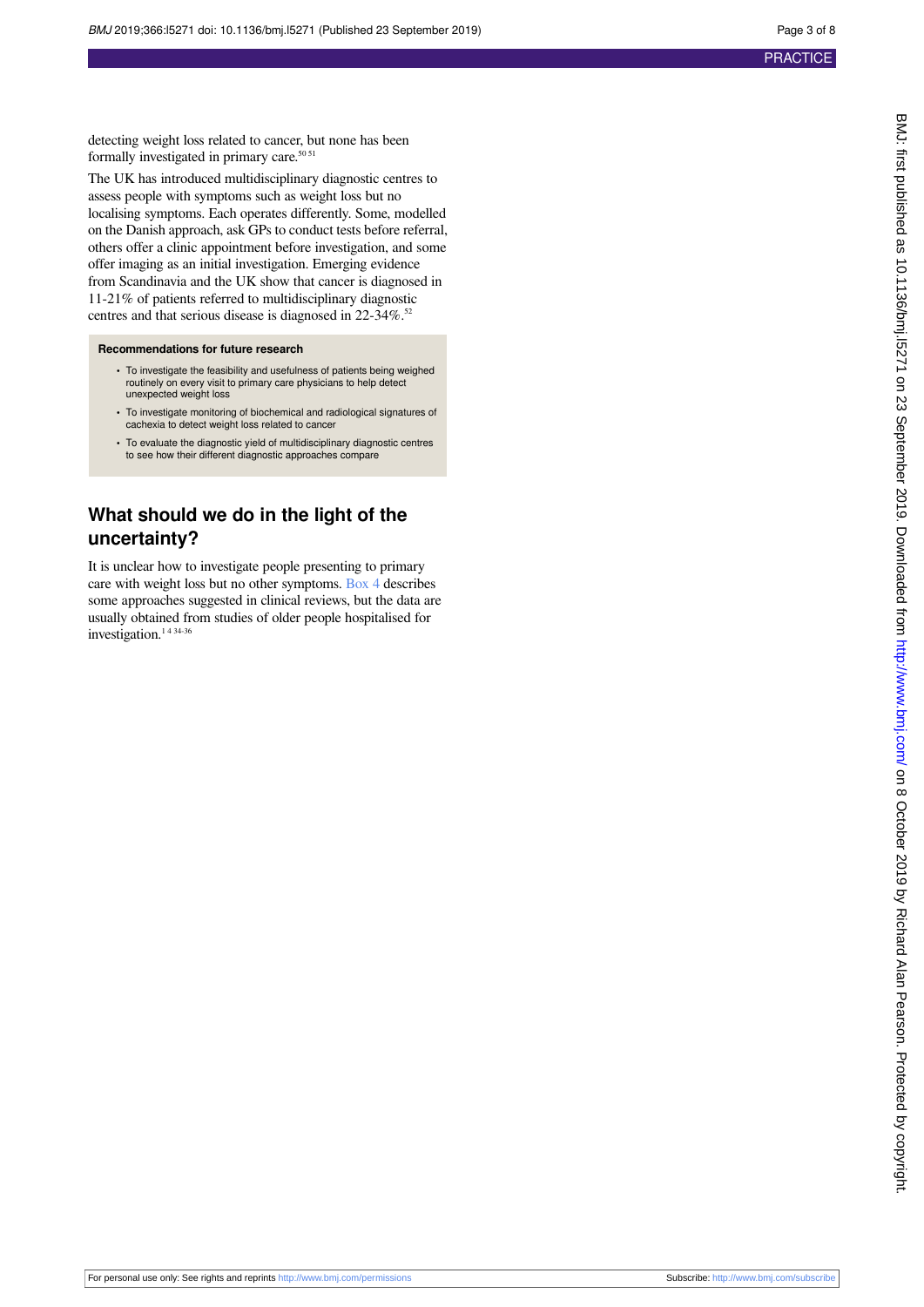detecting weight loss related to cancer, but none has been formally investigated in primary care. $50\,51$ 

The UK has introduced multidisciplinary diagnostic centres to assess people with symptoms such as weight loss but no localising symptoms. Each operates differently. Some, modelled on the Danish approach, ask GPs to conduct tests before referral, others offer a clinic appointment before investigation, and some offer imaging as an initial investigation. Emerging evidence from Scandinavia and the UK show that cancer is diagnosed in 11-21% of patients referred to multidisciplinary diagnostic centres and that serious disease is diagnosed in 22-34%.<sup>52</sup>

### **Recommendations for future research**

- **•** To investigate the feasibility and usefulness of patients being weighed routinely on every visit to primary care physicians to help detect unexpected weight loss
- **•** To investigate monitoring of biochemical and radiological signatures of cachexia to detect weight loss related to cancer
- **•** To evaluate the diagnostic yield of multidisciplinary diagnostic centres to see how their different diagnostic approaches compare

### **What should we do in the light of the uncertainty?**

It is unclear how to investigate people presenting to primary care with weight loss but no other symptoms. [Box 4](#page-3-0) describes some approaches suggested in clinical reviews, but the data are usually obtained from studies of older people hospitalised for investigation.<sup>1434-36</sup>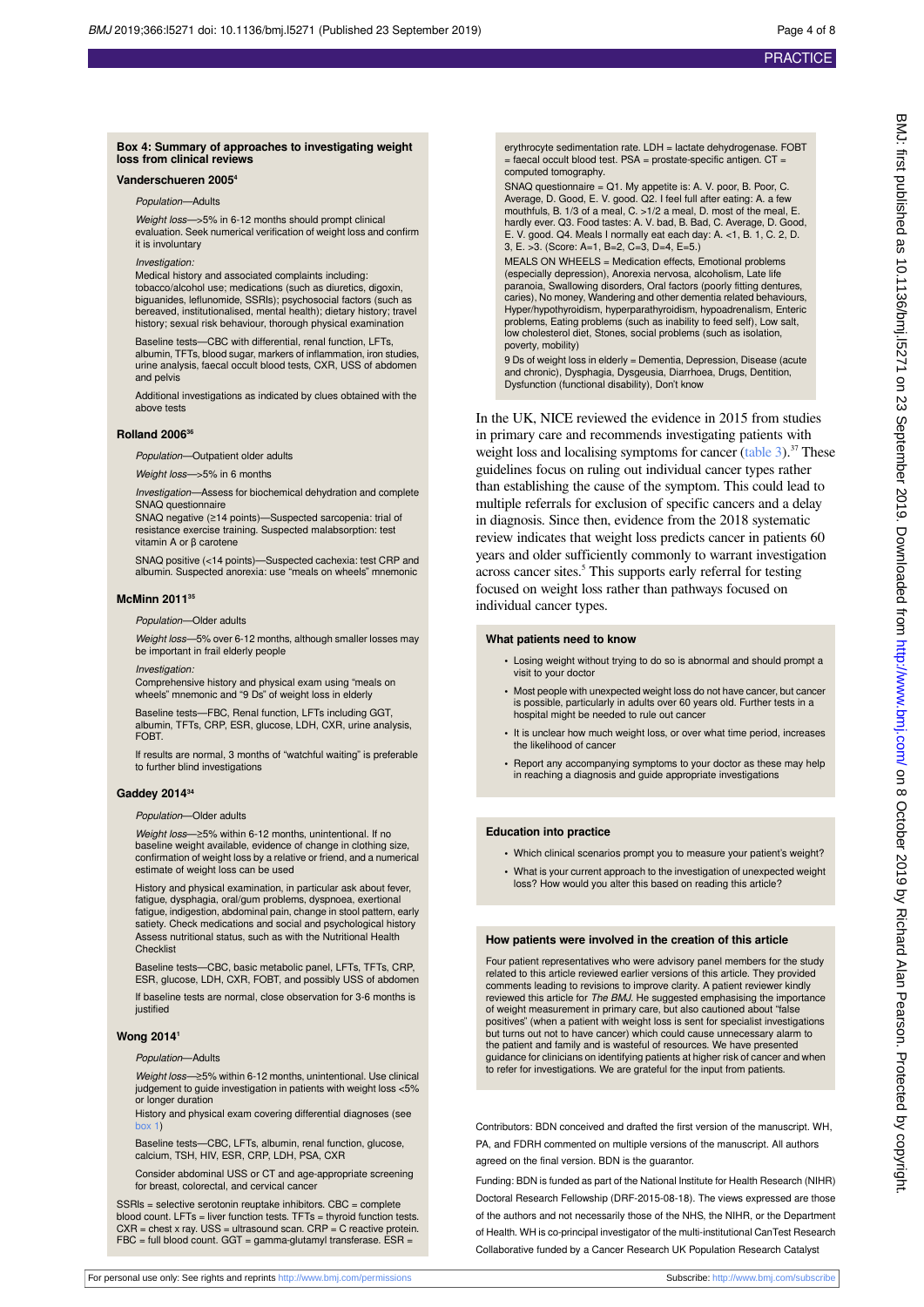### <span id="page-3-0"></span>**Box 4: Summary of approaches to investigating weight loss from clinical reviews**

### **Vanderschueren 2005<sup>4</sup>**

Population—Adults

Weight loss—>5% in 6-12 months should prompt clinical evaluation. Seek numerical verification of weight loss and confirm it is involuntary

Investigation:

Medical history and associated complaints including: tobacco/alcohol use; medications (such as diuretics, digoxin, biguanides, leflunomide, SSRIs); psychosocial factors (such as bereaved, institutionalised, mental health); dietary history; travel history; sexual risk behaviour, thorough physical examination

Baseline tests—CBC with differential, renal function, LFTs, albumin, TFTs, blood sugar, markers of inflammation, iron studies, urine analysis, faecal occult blood tests, CXR, USS of abdomen and pelvis

Additional investigations as indicated by clues obtained with the above tests

#### **Rolland 2006<sup>36</sup>**

Population—Outpatient older adults

Weight loss->5% in 6 months

Investigation—Assess for biochemical dehydration and complete SNAQ questionnaire

SNAQ negative (≥14 points)—Suspected sarcopenia: trial of resistance exercise training. Suspected malabsorption: test vitamin A or β carotene

SNAQ positive (<14 points)—Suspected cachexia: test CRP and albumin. Suspected anorexia: use "meals on wheels" mnemonic

#### **McMinn 2011<sup>35</sup>**

Population—Older adults

Weight loss-5% over 6-12 months, although smaller losses may be important in frail elderly people

Investigation:

Comprehensive history and physical exam using "meals on wheels" mnemonic and "9 Ds" of weight loss in elderly

Baseline tests—FBC, Renal function, LFTs including GGT, albumin, TFTs, CRP, ESR, glucose, LDH, CXR, urine analysis, **FOBT** 

If results are normal, 3 months of "watchful waiting" is preferable to further blind investigations

### **Gaddey 2014<sup>34</sup>**

#### Population—Older adults

Weight loss—≥5% within 6-12 months, unintentional. If no baseline weight available, evidence of change in clothing size, confirmation of weight loss by a relative or friend, and a numerical estimate of weight loss can be used

History and physical examination, in particular ask about fever, fatigue, dysphagia, oral/gum problems, dyspnoea, exertional fatigue, indigestion, abdominal pain, change in stool pattern, early satiety. Check medications and social and psychological history Assess nutritional status, such as with the Nutritional Health **Checklist** 

Baseline tests—CBC, basic metabolic panel, LFTs, TFTs, CRP, ESR, glucose, LDH, CXR, FOBT, and possibly USS of abdomen

If baseline tests are normal, close observation for 3-6 months is justified

### **Wong 2014<sup>1</sup>**

Population—Adults

Weight loss—≥5% within 6-12 months, unintentional. Use clinical judgement to guide investigation in patients with weight loss <5% or longer duration

History and physical exam covering differential diagnoses (see  $box 1)$ 

Baseline tests—CBC, LFTs, albumin, renal function, glucose, calcium, TSH, HIV, ESR, CRP, LDH, PSA, CXR

Consider abdominal USS or CT and age-appropriate screening for breast, colorectal, and cervical cancer

SSRIs = selective serotonin reuptake inhibitors. CBC = complete blood count. LFTs = liver function tests. TFTs = thyroid function tests. CXR = chest x ray. USS = ultrasound scan. CRP = C reactive protein. FBC = full blood count. GGT = gamma-glutamyl transferase. ESR =

erythrocyte sedimentation rate. LDH = lactate dehydrogenase. FOBT = faecal occult blood test. PSA = prostate-specific antigen. CT = computed tomography.

SNAQ questionnaire = Q1. My appetite is: A. V. poor, B. Poor, C. Average, D. Good, E. V. good. Q2. I feel full after eating: A. a few mouthfuls, B. 1/3 of a meal, C. >1/2 a meal, D. most of the meal, E. hardly ever. Q3. Food tastes: A. V. bad, B. Bad, C. Average, D. Good, E. V. good. Q4. Meals I normally eat each day: A. <1, B. 1, C. 2, D. 3, E. >3. (Score: A=1, B=2, C=3, D=4, E=5.)

MEALS ON WHEELS = Medication effects, Emotional problems (especially depression), Anorexia nervosa, alcoholism, Late life paranoia, Swallowing disorders, Oral factors (poorly fitting dentures, caries), No money, Wandering and other dementia related behaviours, Hyper/hypothyroidism, hyperparathyroidism, hypoadrenalism, Enteric problems, Eating problems (such as inability to feed self), Low salt, low cholesterol diet, Stones, social problems (such as isolation, poverty, mobility)

9 Ds of weight loss in elderly = Dementia, Depression, Disease (acute and chronic), Dysphagia, Dysgeusia, Diarrhoea, Drugs, Dentition, Dysfunction (functional disability), Don't know

In the UK, NICE reviewed the evidence in 2015 from studies in primary care and recommends investigating patients with weight loss and localising symptoms for cancer  $(table 3)$  $(table 3)$ .<sup>37</sup> These guidelines focus on ruling out individual cancer types rather than establishing the cause of the symptom. This could lead to multiple referrals for exclusion of specific cancers and a delay in diagnosis. Since then, evidence from the 2018 systematic review indicates that weight loss predicts cancer in patients 60 years and older sufficiently commonly to warrant investigation across cancer sites.<sup>5</sup> This supports early referral for testing focused on weight loss rather than pathways focused on individual cancer types.

### **What patients need to know**

- **•** Losing weight without trying to do so is abnormal and should prompt a visit to your doctor
- **•** Most people with unexpected weight loss do not have cancer, but cancer is possible, particularly in adults over 60 years old. Further tests in a hospital might be needed to rule out cancer
- **•** It is unclear how much weight loss, or over what time period, increases the likelihood of cancer
- **•** Report any accompanying symptoms to your doctor as these may help in reaching a diagnosis and guide appropriate investigations

#### **Education into practice**

- **•** Which clinical scenarios prompt you to measure your patient's weight?
- **•** What is your current approach to the investigation of unexpected weight loss? How would you alter this based on reading this article?

### **How patients were involved in the creation of this article**

Four patient representatives who were advisory panel members for the study related to this article reviewed earlier versions of this article. They provided comments leading to revisions to improve clarity. A patient reviewer kindly reviewed this article for *The BMJ*. He suggested emphasising the importance of weight measurement in primary care, but also cautioned about "false positives" (when a patient with weight loss is sent for specialist investigations<br>but turns out not to have cancer) which could cause unnecessary alarm to<br>the patient and family and is wasteful of resources. We have presen guidance for clinicians on identifying patients at higher risk of cancer and when to refer for investigations. We are grateful for the input from patients.

Contributors: BDN conceived and drafted the first version of the manuscript. WH, PA, and FDRH commented on multiple versions of the manuscript. All authors agreed on the final version. BDN is the guarantor.

Funding: BDN is funded as part of the National Institute for Health Research (NIHR) Doctoral Research Fellowship (DRF-2015-08-18). The views expressed are those of the authors and not necessarily those of the NHS, the NIHR, or the Department of Health. WH is co-principal investigator of the multi-institutional CanTest Research Collaborative funded by a Cancer Research UK Population Research Catalyst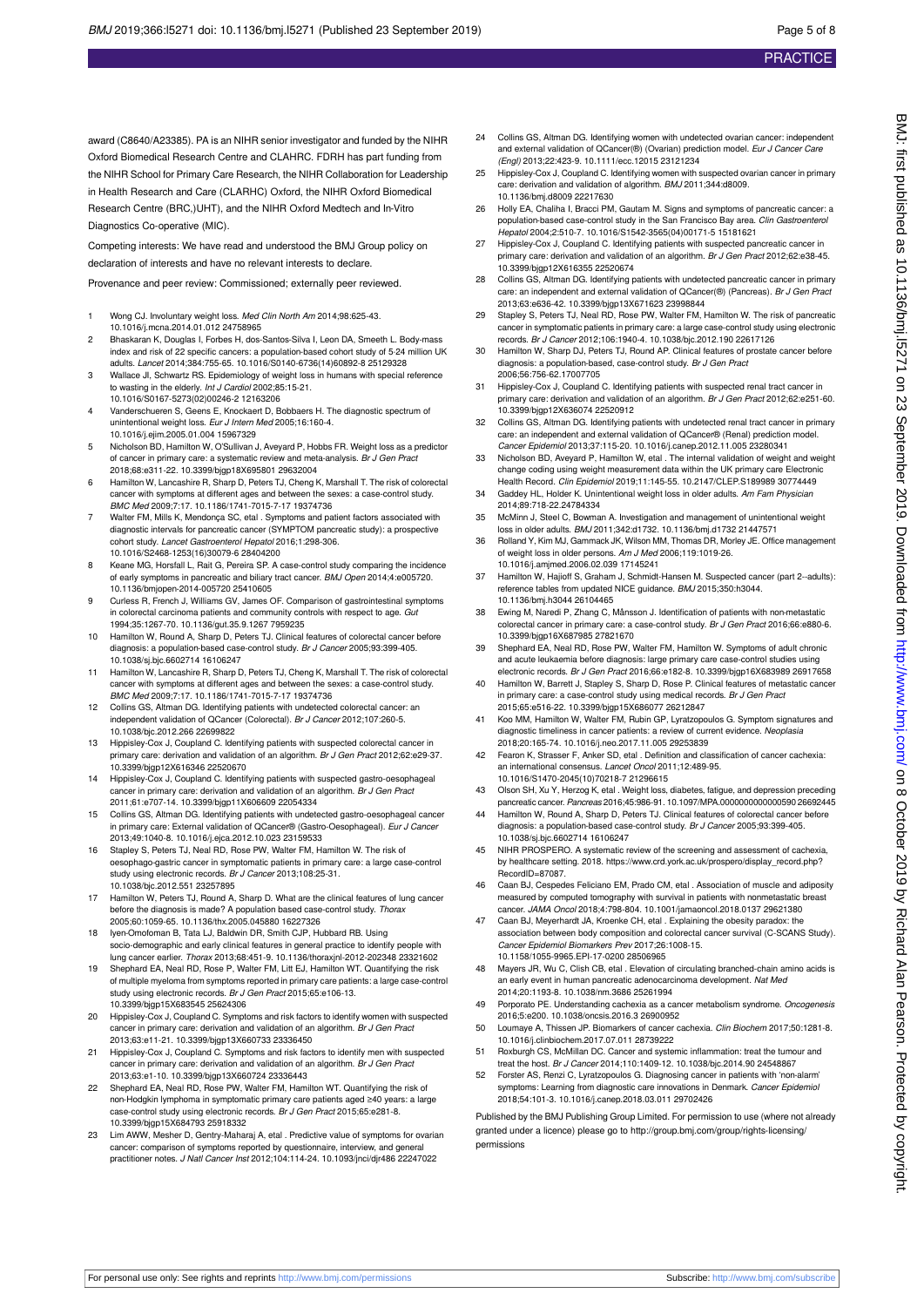award (C8640/A23385). PA is an NIHR senior investigator and funded by the NIHR Oxford Biomedical Research Centre and CLAHRC. FDRH has part funding from the NIHR School for Primary Care Research, the NIHR Collaboration for Leadership in Health Research and Care (CLARHC) Oxford, the NIHR Oxford Biomedical Research Centre (BRC,)UHT), and the NIHR Oxford Medtech and In-Vitro Diagnostics Co-operative (MIC).

Competing interests: We have read and understood the BMJ Group policy on declaration of interests and have no relevant interests to declare.

Provenance and peer review: Commissioned; externally peer reviewed.

- 1 Wong CJ. Involuntary weight loss. Med Clin North Am 2014;98:625-43. 10.1016/j.mcna.2014.01.012 24758965
- 2 Bhaskaran K, Douglas I, Forbes H, dos-Santos-Silva I, Leon DA, Smeeth L. Body-mass index and risk of 22 specific cancers: a population-based cohort study of 5·24 million UK adults. Lancet 2014;384:755-65. 10.1016/S0140-6736(14)60892-8 25129328
- 3 Wallace JI, Schwartz RS. Epidemiology of weight loss in humans with special reference to wasting in the elderly. Int J Cardiol 2002;85:15-21. 10.1016/S0167-5273(02)00246-2 12163206
- 4 Vanderschueren S, Geens E, Knockaert D, Bobbaers H. The diagnostic spectrum of unintentional weight loss. Eur J Intern Med 2005;16:160-4. 10.1016/j.ejim.2005.01.004 15967329
- 5 Nicholson BD, Hamilton W, O'Sullivan J, Aveyard P, Hobbs FR. Weight loss as a predictor of cancer in primary care: a systematic review and meta-analysis. Br J Gen Pract 2018;68:e311-22. 10.3399/bjgp18X695801 29632004
- 6 Hamilton W, Lancashire R, Sharp D, Peters TJ, Cheng K, Marshall T. The risk of colorectal cancer with symptoms at different ages and between the sexes: a case-control study. BMC Med 2009;7:17. 10.1186/1741-7015-7-17 19374736
- 7 Walter FM, Mills K, Mendonça SC, etal . Symptoms and patient factors associated with diagnostic intervals for pancreatic cancer (SYMPTOM pancreatic study): a prospective cohort study. Lancet Gastroenterol Hepatol 2016;1:298-306. 10.1016/S2468-1253(16)30079-6 28404200
- 8 Keane MG, Horsfall L, Rait G, Pereira SP. A case-control study comparing the incidence of early symptoms in pancreatic and biliary tract cancer. BMJ Open 2014;4:e005720. 10.1136/bmjopen-2014-005720 25410605
- Curless R, French J, Williams GV, James OF. Comparison of gastrointestinal symptoms in colorectal carcinoma patients and community controls with respect to age. Gut 1994;35:1267-70. 10.1136/gut.35.9.1267 7959235
- 10 Hamilton W, Round A, Sharp D, Peters TJ. Clinical features of colorectal cancer before diagnosis: a population-based case-control study. Br J Cancer 2005;93:399-405. 10.1038/sj.bjc.6602714 16106247
- 11 Hamilton W, Lancashire R, Sharp D, Peters TJ, Cheng K, Marshall T. The risk of colorectal cancer with symptoms at different ages and between the sexes: a case-control study. BMC Med 2009;7:17. 10.1186/1741-7015-7-17 19374736
- 12 Collins GS, Altman DG. Identifying patients with undetected colorectal cancer: an independent validation of QCancer (Colorectal). Br J Cancer 2012;107:260-5. 10.1038/bjc.2012.266 22699822
- 13 Hippisley-Cox J, Coupland C. Identifying patients with suspected colorectal cancer in primary care: derivation and validation of an algorithm. Br J Gen Pract 2012;62:e29-37. 10.3399/bjgp12X616346 22520670
- 14 Hippisley-Cox J, Coupland C. Identifying patients with suspected gastro-oesophageal cancer in primary care: derivation and validation of an algorithm. Br J Gen Pract 2011;61:e707-14. 10.3399/bjgp11X606609 22054334
- 15 Collins GS, Altman DG. Identifying patients with undetected gastro-oesophageal cancer in primary care: External validation of QCancer® (Gastro-Oesophageal). Eur J Cancer 2013;49:1040-8. 10.1016/j.ejca.2012.10.023 23159533
- 16 Stapley S, Peters TJ, Neal RD, Rose PW, Walter FM, Hamilton W. The risk of oesophago-gastric cancer in symptomatic patients in primary care: a large case-control study using electronic records. Br J Cancer 2013;108:25-31. 10.1038/bjc.2012.551 23257895
- 17 Hamilton W, Peters TJ, Round A, Sharp D. What are the clinical features of lung cancer before the diagnosis is made? A population based case-control study. Thorax 2005;60:1059-65. 10.1136/thx.2005.045880 16227326
- 18 Iyen-Omofoman B, Tata LJ, Baldwin DR, Smith CJP, Hubbard RB. Using socio-demographic and early clinical features in general practice to identify people with lung cancer earlier. Thorax 2013;68:451-9. 10.1136/thoraxjnl-2012-202348 23321602
- 19 Shephard EA, Neal RD, Rose P, Walter FM, Litt EJ, Hamilton WT. Quantifying the risk of multiple myeloma from symptoms reported in primary care patients: a large case-control study using electronic records. Br J Gen Pract 2015;65:e106-13. 10.3399/bjgp15X683545 25624306
- 20 Hippisley-Cox J, Coupland C. Symptoms and risk factors to identify women with suspected cancer in primary care: derivation and validation of an algorithm. Br J Gen Pract 2013;63:e11-21. 10.3399/bjgp13X660733 23336450
- 21 Hippisley-Cox J, Coupland C. Symptoms and risk factors to identify men with suspected cancer in primary care: derivation and validation of an algorithm. Br J Gen Pract 2013;63:e1-10. 10.3399/bjgp13X660724 23336443
- 22 Shephard EA, Neal RD, Rose PW, Walter FM, Hamilton WT. Quantifying the risk of non-Hodgkin lymphoma in symptomatic primary care patients aged ≥40 years: a large<br>case-control study using electronic records. *Br J Gen Pract* 2015;65:e281-8. 10.3399/bjgp15X684793 25918332
- 23 Lim AWW, Mesher D, Gentry-Maharaj A, etal . Predictive value of symptoms for ovarian cancer: comparison of symptoms reported by questionnaire, interview, and general practitioner notes. J Natl Cancer Inst 2012;104:114-24. 10.1093/jnci/djr486 22247022
- 24 Collins GS, Altman DG. Identifying women with undetected ovarian cancer: independent and external validation of QCancer(®) (Ovarian) prediction model. Eur J Cancer Care (Engl) 2013;22:423-9. 10.1111/ecc.12015 23121234
- 25 Hippisley-Cox J, Coupland C. Identifying women with suspected ovarian cancer in primary care: derivation and validation of algorithm. BMJ 2011;344:d8009. 10.1136/bmj.d8009 22217630
- 26 Holly EA, Chaliha I, Bracci PM, Gautam M. Signs and symptoms of pancreatic cancer: a population-based case-control study in the San Francisco Bay area. Clin Gastroenterol Hepatol 2004;2:510-7. 10.1016/S1542-3565(04)00171-5 15181621
- 27 Hippisley-Cox J, Coupland C. Identifying patients with suspected pancreatic cancer in primary care: derivation and validation of an algorithm. Br J Gen Pract 2012;62:e38-45. 10.3399/bjgp12X616355 22520674
- 28 Collins GS, Altman DG. Identifying patients with undetected pancreatic cancer in primary care: an independent and external validation of QCancer(®) (Pancreas). Br J Gen Pract 2013;63:e636-42. 10.3399/bjgp13X671623 23998844
- 29 Stapley S, Peters TJ, Neal RD, Rose PW, Walter FM, Hamilton W. The risk of pancreatic cancer in symptomatic patients in primary care: a large case-control study using electronic records. Br J Cancer 2012;106:1940-4. 10.1038/bjc.2012.190 22617126
- 30 Hamilton W, Sharp DJ, Peters TJ, Round AP. Clinical features of prostate cancer before diagnosis: a population-based, case-control study. Br J Gen Pract 2006;56:756-62.17007705
- 31 Hippisley-Cox J, Coupland C. Identifying patients with suspected renal tract cancer in primary care: derivation and validation of an algorithm. Br J Gen Pract 2012;62:e251-60. .<br>10.3399/bigp12X636074 22520912
- 32 Collins GS, Altman DG. Identifying patients with undetected renal tract cancer in primary care: an independent and external validation of QCancer® (Renal) prediction model. Cancer Epidemiol 2013;37:115-20. 10.1016/j.canep.2012.11.005 23280341
- 33 Nicholson BD, Aveyard P, Hamilton W, etal . The internal validation of weight and weight change coding using weight measurement data within the UK primary care Electronic Health Record. Clin Epidemiol 2019;11:145-55. 10.2147/CLEP.S189989 30774449
- 34 Gaddey HL, Holder K. Unintentional weight loss in older adults. Am Fam Physician 2014;89:718-22.24784334
- 35 McMinn J, Steel C, Bowman A. Investigation and management of unintentional weight loss in older adults. BMJ 2011;342:d1732. 10.1136/bmj.d1732 21447571
- 36 Rolland Y, Kim MJ, Gammack JK, Wilson MM, Thomas DR, Morley JE. Office management of weight loss in older persons. Am J Med 2006;119:1019-26. 10.1016/j.amjmed.2006.02.039 17145241
- 37 Hamilton W, Hajioff S, Graham J, Schmidt-Hansen M. Suspected cancer (part 2--adults): reference tables from updated NICE guidance. BMJ 2015;350:h3044. 10.1136/bmj.h3044 26104465
- 38 Ewing M, Naredi P, Zhang C, Månsson J. Identification of patients with non-metastatic colorectal cancer in primary care: a case-control study. Br J Gen Pract 2016;66:e880-6. 10.3399/bjgp16X687985 27821670
- 39 Shephard EA, Neal RD, Rose PW, Walter FM, Hamilton W. Symptoms of adult chronic and acute leukaemia before diagnosis: large primary care case-control studies using electronic records. Br J Gen Pract 2016;66:e182-8. 10.3399/bjgp16X683989 26917658
- 40 Hamilton W, Barrett J, Stapley S, Sharp D, Rose P. Clinical features of metastatic cancer in primary care: a case-control study using medical records. Br J Gen Pract 2015;65:e516-22. 10.3399/bjgp15X686077 26212847
- 41 Koo MM, Hamilton W, Walter FM, Rubin GP, Lyratzopoulos G. Symptom signatures and diagnostic timeliness in cancer patients: a review of current evidence. Neoplasia
- 2018;20:165-74. 10.1016/j.neo.2017.11.005 29253839 42 Fearon K, Strasser F, Anker SD, etal . Definition and classification of cancer cachexia: an international consensus. Lancet Oncol 2011;12:489-95. 10.1016/S1470-2045(10)70218-7 21296615
- 43 Olson SH, Xu Y, Herzog K, etal . Weight loss, diabetes, fatigue, and depression preceding pancreatic cancer. Pancreas 2016;45:986-91. 10.1097/MPA.0000000000000590 26692445
- 44 Hamilton W, Round A, Sharp D, Peters TJ. Clinical features of colorectal cancer before diagnosis: a population-based case-control study. Br J Cancer 2005;93:399-405 10.1038/sj.bjc.6602714 16106247
- 45 NIHR PROSPERO. A systematic review of the screening and assessment of cachexia, by healthcare setting. 2018. https://www.crd.york.ac.uk/prospero/display\_record.php? RecordID=87087.
- 46 Caan BJ, Cespedes Feliciano EM, Prado CM, etal . Association of muscle and adiposity measured by computed tomography with survival in patients with nonmetastatic breast cancer. JAMA Oncol 2018;4:798-804. 10.1001/jamaoncol.2018.0137 29621380
- 47 Caan BJ, Meyerhardt JA, Kroenke CH, etal . Explaining the obesity paradox: the association between body composition and colorectal cancer survival (C-SCANS Study). Cancer Epidemiol Biomarkers Prev 2017;26:1008-15.
- 10.1158/1055-9965.EPI-17-0200 28506965 48 Mayers JR, Wu C, Clish CB, etal . Elevation of circulating branched-chain amino acids is an early event in human pancreatic adenocarcinoma development. Nat Med
- 2014;20:1193-8. 10.1038/nm.3686 25261994 49 Porporato PE. Understanding cachexia as a cancer metabolism syndrome. Oncogenesis 2016;5:e200. 10.1038/oncsis.2016.3 26900952
- 50 Loumaye A, Thissen JP. Biomarkers of cancer cachexia. Clin Biochem 2017;50:1281-8. 10.1016/j.clinbiochem.2017.07.011 28739222
- 51 Roxburgh CS, McMillan DC. Cancer and systemic inflammation: treat the tumour and treat the host. Br J Cancer 2014;110:1409-12. 10.1038/bjc.2014.90 24548867
- Forster AS, Renzi C, Lyratzopoulos G. Diagnosing cancer in patients with 'non-alarm' mptoms: Learning from diagnostic care innovations in Denmark. Cancer Epidemiol 2018;54:101-3. 10.1016/j.canep.2018.03.011 29702426

Published by the BMJ Publishing Group Limited. For permission to use (where not already granted under a licence) please go to [http://group.bmj.com/group/rights-licensing/](http://group.bmj.com/group/rights-licensing/permissions) [permissions](http://group.bmj.com/group/rights-licensing/permissions)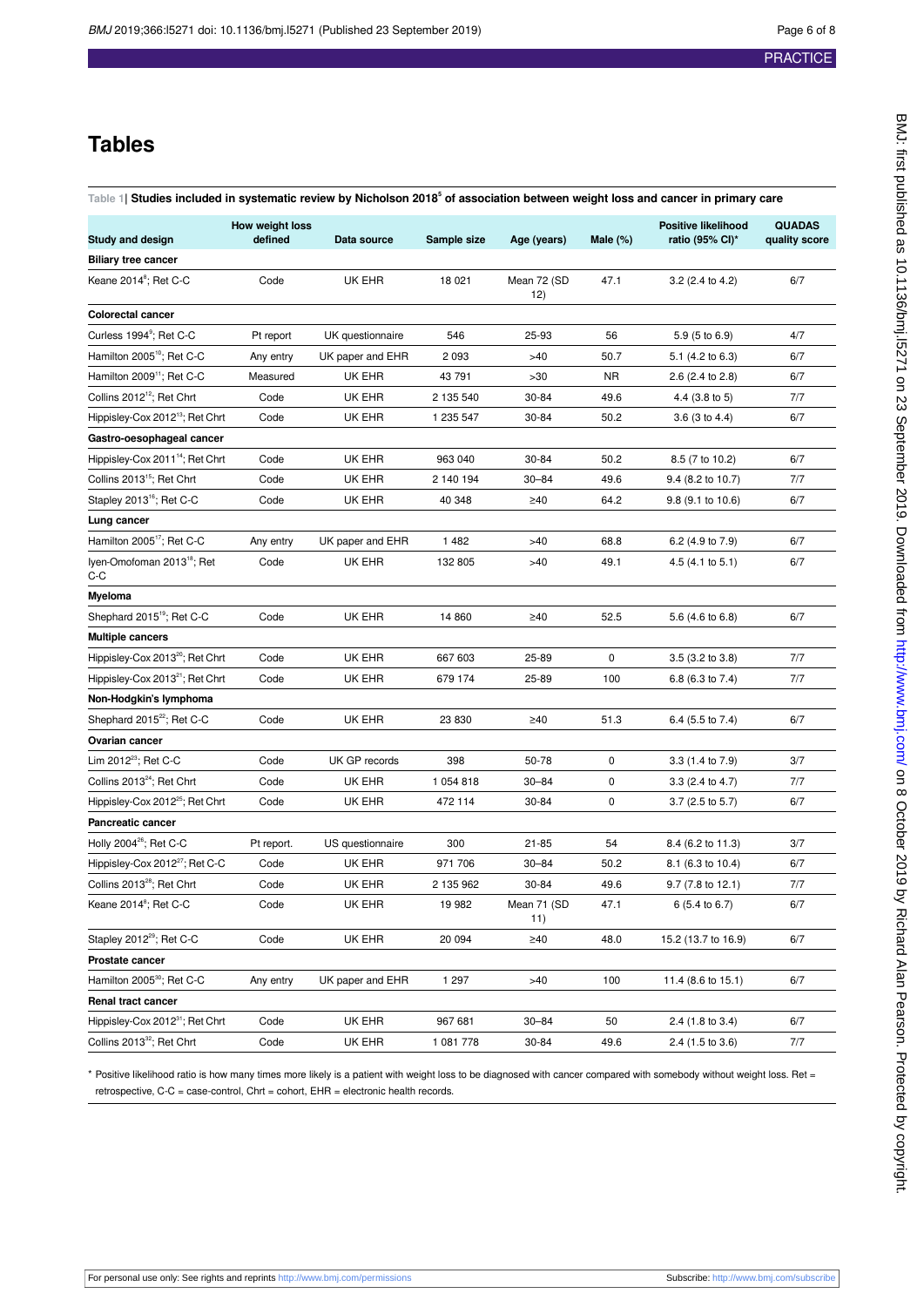## **Tables**

<span id="page-5-0"></span>

| <code>Table 1]</code> Studies included in systematic review by Nicholson 2018 $^{\rm 5}$ of association between weight loss and cancer in primary care |  |
|--------------------------------------------------------------------------------------------------------------------------------------------------------|--|
|                                                                                                                                                        |  |
|                                                                                                                                                        |  |
|                                                                                                                                                        |  |
|                                                                                                                                                        |  |

| <b>Study and design</b>                         | How weight loss<br>defined | Data source      | Sample size | Age (years)        | Male $(\%)$ | <b>Positive likelihood</b><br>ratio (95% CI)* | <b>QUADAS</b><br>quality score |
|-------------------------------------------------|----------------------------|------------------|-------------|--------------------|-------------|-----------------------------------------------|--------------------------------|
| <b>Biliary tree cancer</b>                      |                            |                  |             |                    |             |                                               |                                |
| Keane 2014 <sup>8</sup> ; Ret C-C               | Code                       | UK EHR           | 18 0 21     | Mean 72 (SD<br>12) | 47.1        | 3.2 (2.4 to 4.2)                              | 6/7                            |
| <b>Colorectal cancer</b>                        |                            |                  |             |                    |             |                                               |                                |
| Curless 1994 <sup>9</sup> ; Ret C-C             | Pt report                  | UK questionnaire | 546         | 25-93              | 56          | 5.9 (5 to 6.9)                                | 4/7                            |
| Hamilton 2005 <sup>10</sup> ; Ret C-C           | Any entry                  | UK paper and EHR | 2 0 9 3     | >40                | 50.7        | 5.1 $(4.2 \text{ to } 6.3)$                   | 6/7                            |
| Hamilton 2009 <sup>11</sup> ; Ret C-C           | Measured                   | UK EHR           | 43 791      | >30                | <b>NR</b>   | 2.6 (2.4 to 2.8)                              | 6/7                            |
| Collins 2012 <sup>12</sup> ; Ret Chrt           | Code                       | UK EHR           | 2 135 540   | 30-84              | 49.6        | 4.4 (3.8 to 5)                                | 7/7                            |
| Hippisley-Cox 2012 <sup>13</sup> ; Ret Chrt     | Code                       | UK EHR           | 1 235 547   | 30-84              | 50.2        | $3.6$ (3 to 4.4)                              | 6/7                            |
| Gastro-oesophageal cancer                       |                            |                  |             |                    |             |                                               |                                |
| Hippisley-Cox 2011 <sup>14</sup> ; Ret Chrt     | Code                       | UK EHR           | 963 040     | 30-84              | 50.2        | 8.5 (7 to 10.2)                               | 6/7                            |
| Collins 2013 <sup>15</sup> ; Ret Chrt           | Code                       | UK EHR           | 2 140 194   | $30 - 84$          | 49.6        | 9.4 (8.2 to 10.7)                             | 7/7                            |
| Stapley 2013 <sup>16</sup> ; Ret C-C            | Code                       | UK EHR           | 40 348      | $\geq 40$          | 64.2        | 9.8 (9.1 to 10.6)                             | 6/7                            |
| Lung cancer                                     |                            |                  |             |                    |             |                                               |                                |
| Hamilton 2005 <sup>17</sup> ; Ret C-C           | Any entry                  | UK paper and EHR | 1 4 8 2     | $>40$              | 68.8        | 6.2 (4.9 to 7.9)                              | 6/7                            |
| Iyen-Omofoman 2013 <sup>18</sup> ; Ret<br>$C-C$ | Code                       | UK EHR           | 132 805     | >40                | 49.1        | $4.5(4.1 \text{ to } 5.1)$                    | 6/7                            |
| Myeloma                                         |                            |                  |             |                    |             |                                               |                                |
| Shephard 2015 <sup>19</sup> ; Ret C-C           | Code                       | UK EHR           | 14 860      | $\geq 40$          | 52.5        | 5.6 (4.6 to 6.8)                              | 6/7                            |
| <b>Multiple cancers</b>                         |                            |                  |             |                    |             |                                               |                                |
| Hippisley-Cox 2013 <sup>20</sup> ; Ret Chrt     | Code                       | UK EHR           | 667 603     | 25-89              | 0           | $3.5$ (3.2 to $3.8$ )                         | 7/7                            |
| Hippisley-Cox 2013 <sup>21</sup> ; Ret Chrt     | Code                       | UK EHR           | 679 174     | 25-89              | 100         | 6.8 (6.3 to 7.4)                              | 7/7                            |
| Non-Hodgkin's lymphoma                          |                            |                  |             |                    |             |                                               |                                |
| Shephard 2015 <sup>22</sup> ; Ret C-C           | Code                       | UK EHR           | 23 830      | $\geq 40$          | 51.3        | 6.4 (5.5 to 7.4)                              | 6/7                            |
| Ovarian cancer                                  |                            |                  |             |                    |             |                                               |                                |
| Lim 2012 <sup>23</sup> ; Ret C-C                | Code                       | UK GP records    | 398         | 50-78              | 0           | 3.3 (1.4 to 7.9)                              | 3/7                            |
| Collins 2013 <sup>24</sup> ; Ret Chrt           | Code                       | UK EHR           | 1 054 818   | $30 - 84$          | 0           | 3.3 (2.4 to 4.7)                              | 7/7                            |
| Hippisley-Cox 2012 <sup>25</sup> ; Ret Chrt     | Code                       | UK EHR           | 472 114     | 30-84              | 0           | $3.7(2.5 \text{ to } 5.7)$                    | 6/7                            |
| Pancreatic cancer                               |                            |                  |             |                    |             |                                               |                                |
| Holly 2004 <sup>26</sup> ; Ret C-C              | Pt report.                 | US questionnaire | 300         | 21-85              | 54          | 8.4 (6.2 to 11.3)                             | 3/7                            |
| Hippisley-Cox 2012 <sup>27</sup> ; Ret C-C      | Code                       | UK EHR           | 971 706     | $30 - 84$          | 50.2        | 8.1 (6.3 to 10.4)                             | 6/7                            |
| Collins 2013 <sup>28</sup> ; Ret Chrt           | Code                       | UK EHR           | 2 135 962   | 30-84              | 49.6        | $9.7(7.8 \text{ to } 12.1)$                   | 7/7                            |
| Keane 2014 <sup>8</sup> ; Ret C-C               | Code                       | UK EHR           | 19 982      | Mean 71 (SD<br>11) | 47.1        | 6 (5.4 to 6.7)                                | 6/7                            |
| Stapley 2012 <sup>29</sup> ; Ret C-C            | Code                       | UK EHR           | 20 094      | $\geq 40$          | 48.0        | 15.2 (13.7 to 16.9)                           | 6/7                            |
| Prostate cancer                                 |                            |                  |             |                    |             |                                               |                                |
| Hamilton 2005 <sup>30</sup> ; Ret C-C           | Any entry                  | UK paper and EHR | 1 2 9 7     | >40                | 100         | 11.4 (8.6 to 15.1)                            | 6/7                            |
| Renal tract cancer                              |                            |                  |             |                    |             |                                               |                                |
| Hippisley-Cox 2012 <sup>31</sup> ; Ret Chrt     | Code                       | UK EHR           | 967 681     | $30 - 84$          | 50          | 2.4 (1.8 to 3.4)                              | 6/7                            |
| Collins 2013 <sup>32</sup> ; Ret Chrt           | Code                       | UK EHR           | 1 081 778   | 30-84              | 49.6        | $2.4$ (1.5 to 3.6)                            | 7/7                            |

\* Positive likelihood ratio is how many times more likely is a patient with weight loss to be diagnosed with cancer compared with somebody without weight loss. Ret = retrospective, C-C = case-control, Chrt = cohort, EHR = electronic health records.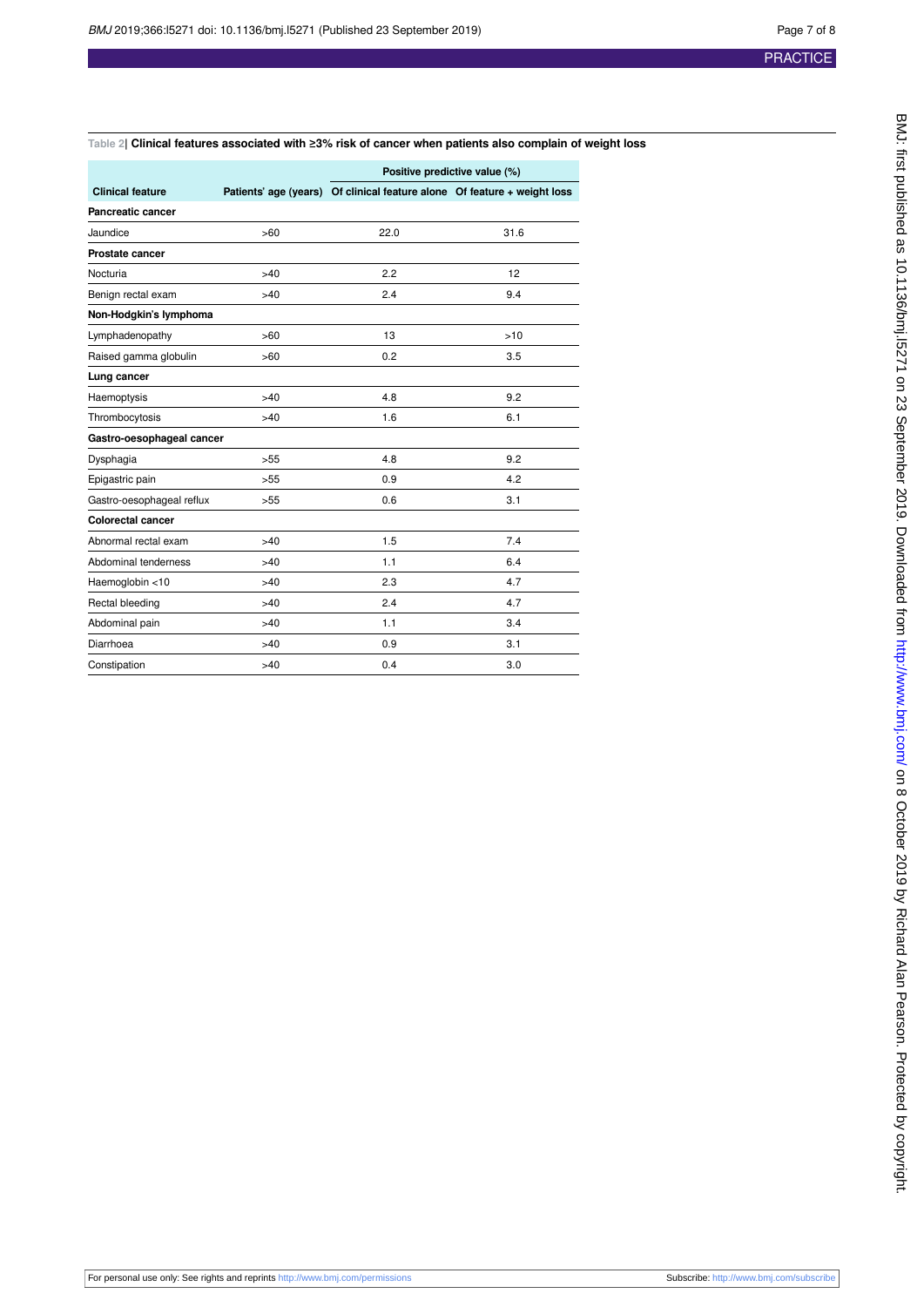### <span id="page-6-0"></span>**Table 2| Clinical features associated with ≥3% risk of cancer when patients also complain of weight loss**

|                           |       | Positive predictive value (%)                                            |      |  |
|---------------------------|-------|--------------------------------------------------------------------------|------|--|
| <b>Clinical feature</b>   |       | Patients' age (years) Of clinical feature alone Of feature + weight loss |      |  |
| Pancreatic cancer         |       |                                                                          |      |  |
| Jaundice                  | >60   | 22.0                                                                     | 31.6 |  |
| <b>Prostate cancer</b>    |       |                                                                          |      |  |
| Nocturia                  | >40   | 2.2                                                                      | 12   |  |
| Benign rectal exam        | >40   | 2.4                                                                      | 9.4  |  |
| Non-Hodgkin's lymphoma    |       |                                                                          |      |  |
| Lymphadenopathy           | >60   | 13                                                                       | >10  |  |
| Raised gamma globulin     | >60   | 0.2                                                                      | 3.5  |  |
| Lung cancer               |       |                                                                          |      |  |
| Haemoptysis               | >40   | 4.8                                                                      | 9.2  |  |
| Thrombocytosis            | >40   | 1.6                                                                      | 6.1  |  |
| Gastro-oesophageal cancer |       |                                                                          |      |  |
| Dysphagia                 | >55   | 4.8                                                                      | 9.2  |  |
| Epigastric pain           | >55   | 0.9                                                                      | 4.2  |  |
| Gastro-oesophageal reflux | >55   | 0.6                                                                      | 3.1  |  |
| <b>Colorectal cancer</b>  |       |                                                                          |      |  |
| Abnormal rectal exam      | >40   | 1.5                                                                      | 7.4  |  |
| Abdominal tenderness      | $>40$ | 1.1                                                                      | 6.4  |  |
| Haemoglobin <10           | >40   | 2.3                                                                      | 4.7  |  |
| Rectal bleeding           | >40   | 2.4                                                                      | 4.7  |  |
| Abdominal pain            | >40   | 1.1                                                                      | 3.4  |  |
| Diarrhoea                 | $>40$ | 0.9                                                                      | 3.1  |  |
| Constipation              | >40   | 0.4                                                                      | 3.0  |  |